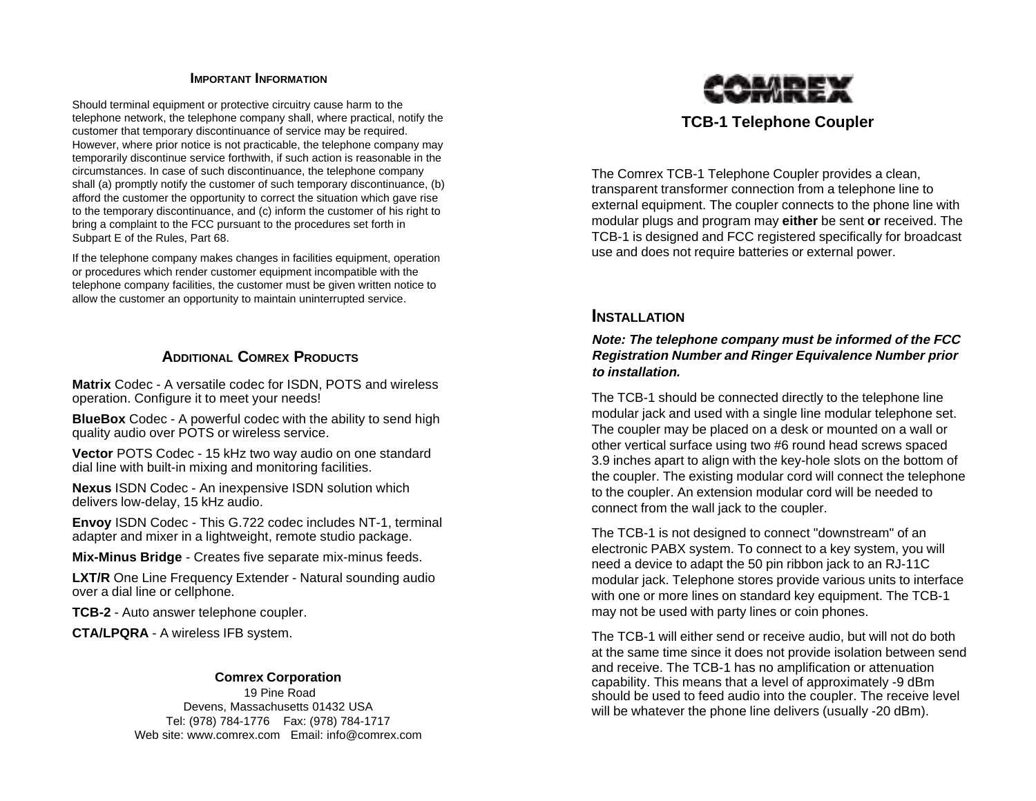#### **IMPORTANT INFORMATION**

Should terminal equipment or protective circuitry cause harm to the telephone network, the telephone company shall, where practical, notify the customer that temporary discontinuance of service may be required. However, where prior notice is not practicable, the telephone company may temporarily discontinue service forthwith, if such action is reasonable in the circumstances. In case of such discontinuance, the telephone company shall (a) promptly notify the customer of such temporary discontinuance, (b) afford the customer the opportunity to correct the situation which gave rise to the temporary discontinuance, and (c) inform the customer of his right to bring a complaint to the FCC pursuant to the procedures set forth in Subpart E of the Rules, Part 68.

If the telephone company makes changes in facilities equipment, operation or procedures which render customer equipment incompatible with the telephone company facilities, the customer must be given written notice to allow the customer an opportunity to maintain uninterrupted service.

### **ADDITIONAL COMREX PRODUCTS**

**Matrix** Codec - A versatile codec for ISDN, POTS and wireless operation. Configure it to meet your needs!

**BlueBox** Codec - A powerful codec with the ability to send high quality audio over POTS or wireless service.

**Vector** POTS Codec - 15 kHz two way audio on one standard dial line with built-in mixing and monitoring facilities.

**Nexus** ISDN Codec - An inexpensive ISDN solution which delivers low-delay, 15 kHz audio.

**Envoy** ISDN Codec - This G.722 codec includes NT-1, terminal adapter and mixer in a lightweight, remote studio package.

**Mix-Minus Bridge** - Creates five separate mix-minus feeds.

**LXT/R** One Line Frequency Extender - Natural sounding audio over a dial line or cellphone.

**TCB-2** - Auto answer telephone coupler.

**CTA/LPQRA** - A wireless IFB system.

#### **Comrex Corporation**

 19 Pine Road Devens, Massachusetts 01432 USA Tel: (978) 784-1776 Fax: (978) 784-1717 Web site: www.comrex.com Email: info@comrex.com



### **TCB-1 Telephone Coupler**

The Comrex TCB-1 Telephone Coupler provides a clean, transparent transformer connection from a telephone line to external equipment. The coupler connects to the phone line with modular plugs and program may **either** be sent **or** received. The TCB-1 is designed and FCC registered specifically for broadcast use and does not require batteries or external power.

### **INSTALLATION**

#### **Note: The telephone company must be informed of the FCC Registration Number and Ringer Equivalence Number prior to installation.**

The TCB-1 should be connected directly to the telephone line modular jack and used with a single line modular telephone set. The coupler may be placed on a desk or mounted on a wall or other vertical surface using two #6 round head screws spaced 3.9 inches apart to align with the key-hole slots on the bottom of the coupler. The existing modular cord will connect the telephone to the coupler. An extension modular cord will be needed to connect from the wall jack to the coupler.

The TCB-1 is not designed to connect "downstream" of an electronic PABX system. To connect to a key system, you will need a device to adapt the 50 pin ribbon jack to an RJ-11C modular jack. Telephone stores provide various units to interface with one or more lines on standard key equipment. The TCB-1 may not be used with party lines or coin phones.

The TCB-1 will either send or receive audio, but will not do both at the same time since it does not provide isolation between send and receive. The TCB-1 has no amplification or attenuation capability. This means that a level of approximately -9 dBm should be used to feed audio into the coupler. The receive level will be whatever the phone line delivers (usually -20 dBm).